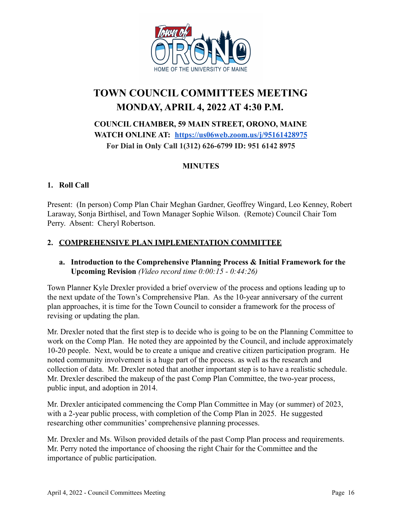

# **TOWN COUNCIL COMMITTEES MEETING MONDAY, APRIL 4, 2022 AT 4:30 P.M.**

## **COUNCIL CHAMBER, 59 MAIN STREET, ORONO, MAINE WATCH ONLINE AT: <https://us06web.zoom.us/j/95161428975> For Dial in Only Call 1(312) 626-6799 ID: 951 6142 8975**

## **MINUTES**

#### **1. Roll Call**

Present: (In person) Comp Plan Chair Meghan Gardner, Geoffrey Wingard, Leo Kenney, Robert Laraway, Sonja Birthisel, and Town Manager Sophie Wilson. (Remote) Council Chair Tom Perry. Absent: Cheryl Robertson.

#### **2. COMPREHENSIVE PLAN IMPLEMENTATION COMMITTEE**

#### **a. Introduction to the Comprehensive Planning Process & Initial Framework for the Upcoming Revision** *(Video record time 0:00:15 - 0:44:26)*

Town Planner Kyle Drexler provided a brief overview of the process and options leading up to the next update of the Town's Comprehensive Plan. As the 10-year anniversary of the current plan approaches, it is time for the Town Council to consider a framework for the process of revising or updating the plan.

Mr. Drexler noted that the first step is to decide who is going to be on the Planning Committee to work on the Comp Plan. He noted they are appointed by the Council, and include approximately 10-20 people. Next, would be to create a unique and creative citizen participation program. He noted community involvement is a huge part of the process. as well as the research and collection of data. Mr. Drexler noted that another important step is to have a realistic schedule. Mr. Drexler described the makeup of the past Comp Plan Committee, the two-year process, public input, and adoption in 2014.

Mr. Drexler anticipated commencing the Comp Plan Committee in May (or summer) of 2023, with a 2-year public process, with completion of the Comp Plan in 2025. He suggested researching other communities' comprehensive planning processes.

Mr. Drexler and Ms. Wilson provided details of the past Comp Plan process and requirements. Mr. Perry noted the importance of choosing the right Chair for the Committee and the importance of public participation.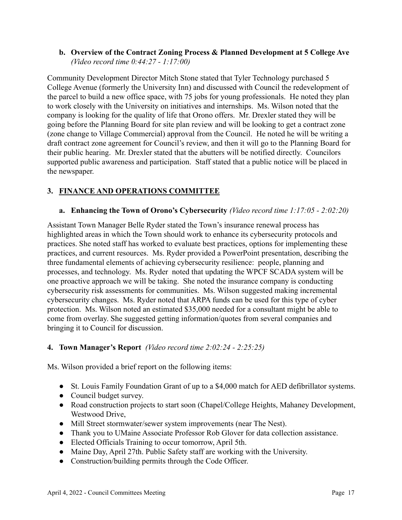#### **b. Overview of the Contract Zoning Process & Planned Development at 5 College Ave** *(Video record time 0:44:27 - 1:17:00)*

Community Development Director Mitch Stone stated that Tyler Technology purchased 5 College Avenue (formerly the University Inn) and discussed with Council the redevelopment of the parcel to build a new office space, with 75 jobs for young professionals. He noted they plan to work closely with the University on initiatives and internships. Ms. Wilson noted that the company is looking for the quality of life that Orono offers. Mr. Drexler stated they will be going before the Planning Board for site plan review and will be looking to get a contract zone (zone change to Village Commercial) approval from the Council. He noted he will be writing a draft contract zone agreement for Council's review, and then it will go to the Planning Board for their public hearing. Mr. Drexler stated that the abutters will be notified directly. Councilors supported public awareness and participation. Staff stated that a public notice will be placed in the newspaper.

## **3. FINANCE AND OPERATIONS COMMITTEE**

#### **a. Enhancing the Town of Orono's Cybersecurity** *(Video record time 1:17:05 - 2:02:20)*

Assistant Town Manager Belle Ryder stated the Town's insurance renewal process has highlighted areas in which the Town should work to enhance its cybersecurity protocols and practices. She noted staff has worked to evaluate best practices, options for implementing these practices, and current resources. Ms. Ryder provided a PowerPoint presentation, describing the three fundamental elements of achieving cybersecurity resilience: people, planning and processes, and technology. Ms. Ryder noted that updating the WPCF SCADA system will be one proactive approach we will be taking. She noted the insurance company is conducting cybersecurity risk assessments for communities. Ms. Wilson suggested making incremental cybersecurity changes. Ms. Ryder noted that ARPA funds can be used for this type of cyber protection. Ms. Wilson noted an estimated \$35,000 needed for a consultant might be able to come from overlay. She suggested getting information/quotes from several companies and bringing it to Council for discussion.

#### **4. Town Manager's Report** *(Video record time 2:02:24 - 2:25:25)*

Ms. Wilson provided a brief report on the following items:

- St. Louis Family Foundation Grant of up to a \$4,000 match for AED defibrillator systems.
- Council budget survey.
- Road construction projects to start soon (Chapel/College Heights, Mahaney Development, Westwood Drive,
- Mill Street stormwater/sewer system improvements (near The Nest).
- Thank you to UMaine Associate Professor Rob Glover for data collection assistance.
- Elected Officials Training to occur tomorrow, April 5th.
- Maine Day, April 27th. Public Safety staff are working with the University.
- Construction/building permits through the Code Officer.